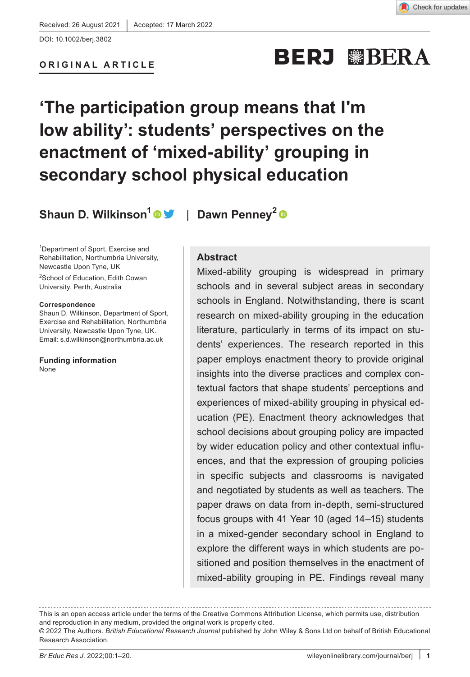### **ORIGINAL ARTICLE**

# **BERJ WBERA**

# **'The participation group means that I'm low ability': students' perspectives on the enactment of 'mixed-ability' grouping in secondary school physical education**

**Shaun D. Wilkinson[1](https://orcid.org/0000-0002-4405-7549)** | **Dawn Penney<sup>2</sup>**

1 Department of Sport, Exercise and Rehabilitation, Northumbria University, Newcastle Upon Tyne, UK

2 School of Education, Edith Cowan University, Perth, Australia

#### **Correspondence**

Shaun D. Wilkinson, Department of Sport, Exercise and Rehabilitation, Northumbria University, Newcastle Upon Tyne, UK. Email: [s.d.wilkinson@northumbria.ac.uk](mailto:s.d.wilkinson@northumbria.ac.uk)

**Funding information** None

### **Abstract**

Mixed-ability grouping is widespread in primary schools and in several subject areas in secondary schools in England. Notwithstanding, there is scant research on mixed-ability grouping in the education literature, particularly in terms of its impact on students' experiences. The research reported in this paper employs enactment theory to provide original insights into the diverse practices and complex contextual factors that shape students' perceptions and experiences of mixed-ability grouping in physical education (PE). Enactment theory acknowledges that school decisions about grouping policy are impacted by wider education policy and other contextual influences, and that the expression of grouping policies in specific subjects and classrooms is navigated and negotiated by students as well as teachers. The paper draws on data from in-depth, semi-structured focus groups with 41 Year 10 (aged 14–15) students in a mixed-gender secondary school in England to explore the different ways in which students are positioned and position themselves in the enactment of mixed-ability grouping in PE. Findings reveal many

This is an open access article under the terms of the [Creative Commons Attribution](http://creativecommons.org/licenses/by/4.0/) License, which permits use, distribution and reproduction in any medium, provided the original work is properly cited.

<sup>© 2022</sup> The Authors. *British Educational Research Journal* published by John Wiley & Sons Ltd on behalf of British Educational Research Association.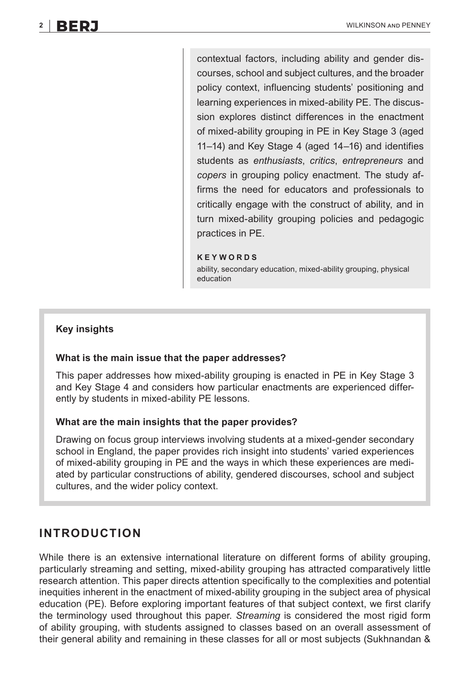contextual factors, including ability and gender discourses, school and subject cultures, and the broader policy context, influencing students' positioning and learning experiences in mixed-ability PE. The discussion explores distinct differences in the enactment of mixed-ability grouping in PE in Key Stage 3 (aged 11–14) and Key Stage 4 (aged 14–16) and identifies students as *enthusiasts*, *critics*, *entrepreneurs* and *copers* in grouping policy enactment. The study affirms the need for educators and professionals to critically engage with the construct of ability, and in turn mixed-ability grouping policies and pedagogic practices in PE.

#### **KEYWORDS**

ability, secondary education, mixed-ability grouping, physical education

### **Key insights**

### **What is the main issue that the paper addresses?**

This paper addresses how mixed-ability grouping is enacted in PE in Key Stage 3 and Key Stage 4 and considers how particular enactments are experienced differently by students in mixed-ability PE lessons.

### **What are the main insights that the paper provides?**

Drawing on focus group interviews involving students at a mixed-gender secondary school in England, the paper provides rich insight into students' varied experiences of mixed-ability grouping in PE and the ways in which these experiences are mediated by particular constructions of ability, gendered discourses, school and subject cultures, and the wider policy context.

### **INTRODUCTION**

While there is an extensive international literature on different forms of ability grouping, particularly streaming and setting, mixed-ability grouping has attracted comparatively little research attention. This paper directs attention specifically to the complexities and potential inequities inherent in the enactment of mixed-ability grouping in the subject area of physical education (PE). Before exploring important features of that subject context, we first clarify the terminology used throughout this paper. *Streaming* is considered the most rigid form of ability grouping, with students assigned to classes based on an overall assessment of their general ability and remaining in these classes for all or most subjects (Sukhnandan &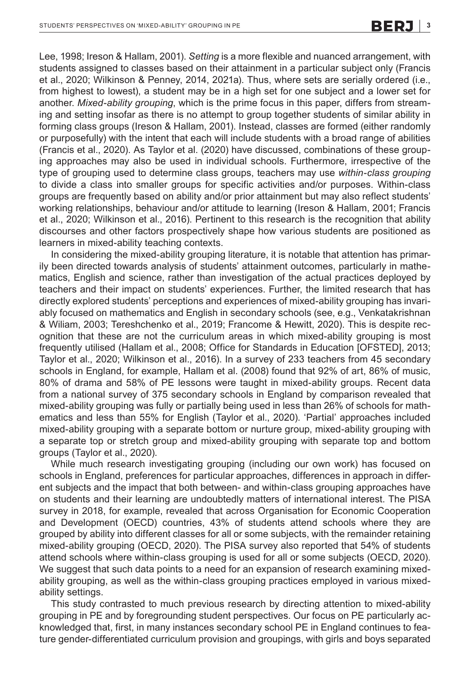Lee, 1998; Ireson & Hallam, 2001). *Setting* is a more flexible and nuanced arrangement, with students assigned to classes based on their attainment in a particular subject only (Francis et al., 2020; Wilkinson & Penney, 2014, 2021a). Thus, where sets are serially ordered (i.e., from highest to lowest), a student may be in a high set for one subject and a lower set for another. *Mixed-ability grouping*, which is the prime focus in this paper, differs from streaming and setting insofar as there is no attempt to group together students of similar ability in forming class groups (Ireson & Hallam, 2001). Instead, classes are formed (either randomly or purposefully) with the intent that each will include students with a broad range of abilities (Francis et al., 2020). As Taylor et al. (2020) have discussed, combinations of these grouping approaches may also be used in individual schools. Furthermore, irrespective of the type of grouping used to determine class groups, teachers may use *within-class grouping* to divide a class into smaller groups for specific activities and/or purposes. Within-class groups are frequently based on ability and/or prior attainment but may also reflect students' working relationships, behaviour and/or attitude to learning (Ireson & Hallam, 2001; Francis et al., 2020; Wilkinson et al., 2016). Pertinent to this research is the recognition that ability discourses and other factors prospectively shape how various students are positioned as learners in mixed-ability teaching contexts.

In considering the mixed-ability grouping literature, it is notable that attention has primarily been directed towards analysis of students' attainment outcomes, particularly in mathematics, English and science, rather than investigation of the actual practices deployed by teachers and their impact on students' experiences. Further, the limited research that has directly explored students' perceptions and experiences of mixed-ability grouping has invariably focused on mathematics and English in secondary schools (see, e.g., Venkatakrishnan & Wiliam, 2003; Tereshchenko et al., 2019; Francome & Hewitt, 2020). This is despite recognition that these are not the curriculum areas in which mixed-ability grouping is most frequently utilised (Hallam et al., 2008; Office for Standards in Education [OFSTED], 2013; Taylor et al., 2020; Wilkinson et al., 2016). In a survey of 233 teachers from 45 secondary schools in England, for example, Hallam et al. (2008) found that 92% of art, 86% of music, 80% of drama and 58% of PE lessons were taught in mixed-ability groups. Recent data from a national survey of 375 secondary schools in England by comparison revealed that mixed-ability grouping was fully or partially being used in less than 26% of schools for mathematics and less than 55% for English (Taylor et al., 2020). 'Partial' approaches included mixed-ability grouping with a separate bottom or nurture group, mixed-ability grouping with a separate top or stretch group and mixed-ability grouping with separate top and bottom groups (Taylor et al., 2020).

While much research investigating grouping (including our own work) has focused on schools in England, preferences for particular approaches, differences in approach in different subjects and the impact that both between- and within-class grouping approaches have on students and their learning are undoubtedly matters of international interest. The PISA survey in 2018, for example, revealed that across Organisation for Economic Cooperation and Development (OECD) countries, 43% of students attend schools where they are grouped by ability into different classes for all or some subjects, with the remainder retaining mixed-ability grouping (OECD, 2020). The PISA survey also reported that 54% of students attend schools where within-class grouping is used for all or some subjects (OECD, 2020). We suggest that such data points to a need for an expansion of research examining mixedability grouping, as well as the within-class grouping practices employed in various mixedability settings.

This study contrasted to much previous research by directing attention to mixed-ability grouping in PE and by foregrounding student perspectives. Our focus on PE particularly acknowledged that, first, in many instances secondary school PE in England continues to feature gender-differentiated curriculum provision and groupings, with girls and boys separated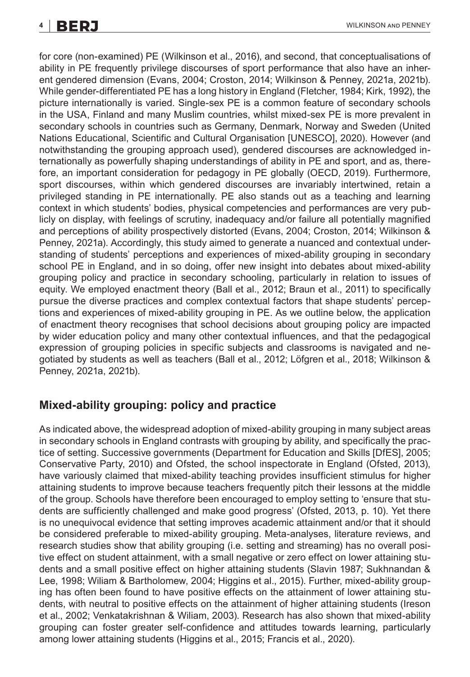for core (non-examined) PE (Wilkinson et al., 2016), and second, that conceptualisations of ability in PE frequently privilege discourses of sport performance that also have an inherent gendered dimension (Evans, 2004; Croston, 2014; Wilkinson & Penney, 2021a, 2021b). While gender-differentiated PE has a long history in England (Fletcher, 1984; Kirk, 1992), the picture internationally is varied. Single-sex PE is a common feature of secondary schools in the USA, Finland and many Muslim countries, whilst mixed-sex PE is more prevalent in secondary schools in countries such as Germany, Denmark, Norway and Sweden (United Nations Educational, Scientific and Cultural Organisation [UNESCO], 2020). However (and notwithstanding the grouping approach used), gendered discourses are acknowledged internationally as powerfully shaping understandings of ability in PE and sport, and as, therefore, an important consideration for pedagogy in PE globally (OECD, 2019). Furthermore, sport discourses, within which gendered discourses are invariably intertwined, retain a privileged standing in PE internationally. PE also stands out as a teaching and learning context in which students' bodies, physical competencies and performances are very publicly on display, with feelings of scrutiny, inadequacy and/or failure all potentially magnified and perceptions of ability prospectively distorted (Evans, 2004; Croston, 2014; Wilkinson & Penney, 2021a). Accordingly, this study aimed to generate a nuanced and contextual understanding of students' perceptions and experiences of mixed-ability grouping in secondary school PE in England, and in so doing, offer new insight into debates about mixed-ability grouping policy and practice in secondary schooling, particularly in relation to issues of equity. We employed enactment theory (Ball et al., 2012; Braun et al., 2011) to specifically pursue the diverse practices and complex contextual factors that shape students' perceptions and experiences of mixed-ability grouping in PE. As we outline below, the application of enactment theory recognises that school decisions about grouping policy are impacted by wider education policy and many other contextual influences, and that the pedagogical expression of grouping policies in specific subjects and classrooms is navigated and negotiated by students as well as teachers (Ball et al., 2012; Löfgren et al., 2018; Wilkinson & Penney, 2021a, 2021b).

## **Mixed-ability grouping: policy and practice**

As indicated above, the widespread adoption of mixed-ability grouping in many subject areas in secondary schools in England contrasts with grouping by ability, and specifically the practice of setting. Successive governments (Department for Education and Skills [DfES], 2005; Conservative Party, 2010) and Ofsted, the school inspectorate in England (Ofsted, 2013), have variously claimed that mixed-ability teaching provides insufficient stimulus for higher attaining students to improve because teachers frequently pitch their lessons at the middle of the group. Schools have therefore been encouraged to employ setting to 'ensure that students are sufficiently challenged and make good progress' (Ofsted, 2013, p. 10). Yet there is no unequivocal evidence that setting improves academic attainment and/or that it should be considered preferable to mixed-ability grouping. Meta-analyses, literature reviews, and research studies show that ability grouping (i.e. setting and streaming) has no overall positive effect on student attainment, with a small negative or zero effect on lower attaining students and a small positive effect on higher attaining students (Slavin 1987; Sukhnandan & Lee, 1998; Wiliam & Bartholomew, 2004; Higgins et al., 2015). Further, mixed-ability grouping has often been found to have positive effects on the attainment of lower attaining students, with neutral to positive effects on the attainment of higher attaining students (Ireson et al., 2002; Venkatakrishnan & Wiliam, 2003). Research has also shown that mixed-ability grouping can foster greater self-confidence and attitudes towards learning, particularly among lower attaining students (Higgins et al., 2015; Francis et al., 2020).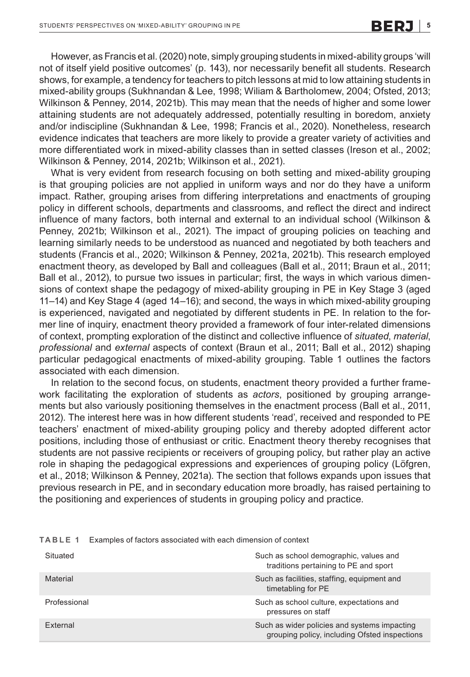However, as Francis et al.(2020) note, simply grouping students in mixed-ability groups 'will not of itself yield positive outcomes' (p. 143), nor necessarily benefit all students. Research shows, for example, a tendency for teachers to pitch lessons at mid to low attaining students in mixed-ability groups (Sukhnandan & Lee, 1998; Wiliam & Bartholomew, 2004; Ofsted, 2013; Wilkinson & Penney, 2014, 2021b). This may mean that the needs of higher and some lower attaining students are not adequately addressed, potentially resulting in boredom, anxiety and/or indiscipline (Sukhnandan & Lee, 1998; Francis et al., 2020). Nonetheless, research evidence indicates that teachers are more likely to provide a greater variety of activities and more differentiated work in mixed-ability classes than in setted classes (Ireson et al., 2002; Wilkinson & Penney, 2014, 2021b; Wilkinson et al., 2021).

What is very evident from research focusing on both setting and mixed-ability grouping is that grouping policies are not applied in uniform ways and nor do they have a uniform impact. Rather, grouping arises from differing interpretations and enactments of grouping policy in different schools, departments and classrooms, and reflect the direct and indirect influence of many factors, both internal and external to an individual school (Wilkinson & Penney, 2021b; Wilkinson et al., 2021). The impact of grouping policies on teaching and learning similarly needs to be understood as nuanced and negotiated by both teachers and students (Francis et al., 2020; Wilkinson & Penney, 2021a, 2021b). This research employed enactment theory, as developed by Ball and colleagues (Ball et al., 2011; Braun et al., 2011; Ball et al., 2012), to pursue two issues in particular; first, the ways in which various dimensions of context shape the pedagogy of mixed-ability grouping in PE in Key Stage 3 (aged 11–14) and Key Stage 4 (aged 14–16); and second, the ways in which mixed-ability grouping is experienced, navigated and negotiated by different students in PE. In relation to the former line of inquiry, enactment theory provided a framework of four inter-related dimensions of context, prompting exploration of the distinct and collective influence of *situated*, *material*, *professional* and *external* aspects of context (Braun et al., 2011; Ball et al., 2012) shaping particular pedagogical enactments of mixed-ability grouping. Table 1 outlines the factors associated with each dimension.

In relation to the second focus, on students, enactment theory provided a further framework facilitating the exploration of students as *actors*, positioned by grouping arrangements but also variously positioning themselves in the enactment process (Ball et al., 2011, 2012). The interest here was in how different students 'read', received and responded to PE teachers' enactment of mixed-ability grouping policy and thereby adopted different actor positions, including those of enthusiast or critic. Enactment theory thereby recognises that students are not passive recipients or receivers of grouping policy, but rather play an active role in shaping the pedagogical expressions and experiences of grouping policy (Löfgren, et al., 2018; Wilkinson & Penney, 2021a). The section that follows expands upon issues that previous research in PE, and in secondary education more broadly, has raised pertaining to the positioning and experiences of students in grouping policy and practice.

| Situated        | Such as school demographic, values and<br>traditions pertaining to PE and sport               |
|-----------------|-----------------------------------------------------------------------------------------------|
| Material        | Such as facilities, staffing, equipment and<br>timetabling for PE                             |
| Professional    | Such as school culture, expectations and<br>pressures on staff                                |
| <b>External</b> | Such as wider policies and systems impacting<br>grouping policy, including Ofsted inspections |

**TABLE 1** Examples of factors associated with each dimension of context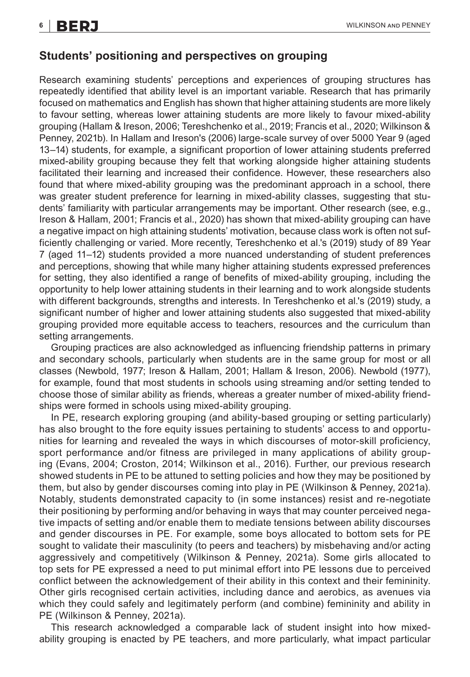## **Students' positioning and perspectives on grouping**

Research examining students' perceptions and experiences of grouping structures has repeatedly identified that ability level is an important variable. Research that has primarily focused on mathematics and English has shown that higher attaining students are more likely to favour setting, whereas lower attaining students are more likely to favour mixed-ability grouping (Hallam & Ireson, 2006; Tereshchenko et al., 2019; Francis et al., 2020; Wilkinson & Penney, 2021b). In Hallam and Ireson's (2006) large-scale survey of over 5000 Year 9 (aged 13–14) students, for example, a significant proportion of lower attaining students preferred mixed-ability grouping because they felt that working alongside higher attaining students facilitated their learning and increased their confidence. However, these researchers also found that where mixed-ability grouping was the predominant approach in a school, there was greater student preference for learning in mixed-ability classes, suggesting that students' familiarity with particular arrangements may be important. Other research (see, e.g., Ireson & Hallam, 2001; Francis et al., 2020) has shown that mixed-ability grouping can have a negative impact on high attaining students' motivation, because class work is often not sufficiently challenging or varied. More recently, Tereshchenko et al.'s (2019) study of 89 Year 7 (aged 11–12) students provided a more nuanced understanding of student preferences and perceptions, showing that while many higher attaining students expressed preferences for setting, they also identified a range of benefits of mixed-ability grouping, including the opportunity to help lower attaining students in their learning and to work alongside students with different backgrounds, strengths and interests. In Tereshchenko et al.'s (2019) study, a significant number of higher and lower attaining students also suggested that mixed-ability grouping provided more equitable access to teachers, resources and the curriculum than setting arrangements.

Grouping practices are also acknowledged as influencing friendship patterns in primary and secondary schools, particularly when students are in the same group for most or all classes (Newbold, 1977; Ireson & Hallam, 2001; Hallam & Ireson, 2006). Newbold (1977), for example, found that most students in schools using streaming and/or setting tended to choose those of similar ability as friends, whereas a greater number of mixed-ability friendships were formed in schools using mixed-ability grouping.

In PE, research exploring grouping (and ability-based grouping or setting particularly) has also brought to the fore equity issues pertaining to students' access to and opportunities for learning and revealed the ways in which discourses of motor-skill proficiency, sport performance and/or fitness are privileged in many applications of ability grouping (Evans, 2004; Croston, 2014; Wilkinson et al., 2016). Further, our previous research showed students in PE to be attuned to setting policies and how they may be positioned by them, but also by gender discourses coming into play in PE (Wilkinson & Penney, 2021a). Notably, students demonstrated capacity to (in some instances) resist and re-negotiate their positioning by performing and/or behaving in ways that may counter perceived negative impacts of setting and/or enable them to mediate tensions between ability discourses and gender discourses in PE. For example, some boys allocated to bottom sets for PE sought to validate their masculinity (to peers and teachers) by misbehaving and/or acting aggressively and competitively (Wilkinson & Penney, 2021a). Some girls allocated to top sets for PE expressed a need to put minimal effort into PE lessons due to perceived conflict between the acknowledgement of their ability in this context and their femininity. Other girls recognised certain activities, including dance and aerobics, as avenues via which they could safely and legitimately perform (and combine) femininity and ability in PE (Wilkinson & Penney, 2021a).

This research acknowledged a comparable lack of student insight into how mixedability grouping is enacted by PE teachers, and more particularly, what impact particular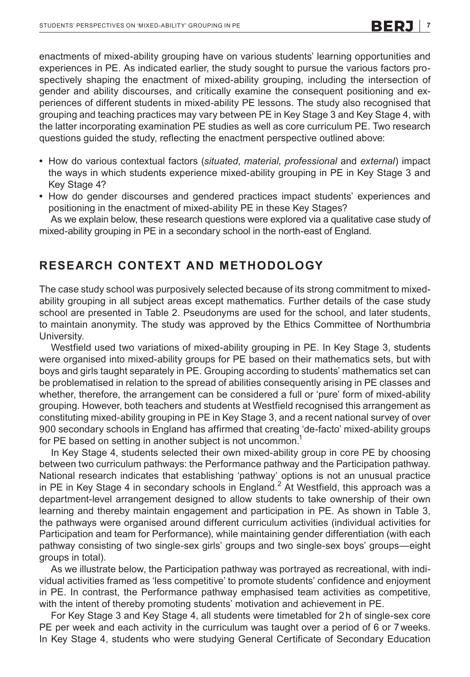enactments of mixed-ability grouping have on various students' learning opportunities and experiences in PE. As indicated earlier, the study sought to pursue the various factors prospectively shaping the enactment of mixed-ability grouping, including the intersection of gender and ability discourses, and critically examine the consequent positioning and experiences of different students in mixed-ability PE lessons. The study also recognised that grouping and teaching practices may vary between PE in Key Stage 3 and Key Stage 4, with the latter incorporating examination PE studies as well as core curriculum PE. Two research questions guided the study, reflecting the enactment perspective outlined above:

- **•** How do various contextual factors (*situated*, *material*, *professional* and *external*) impact the ways in which students experience mixed-ability grouping in PE in Key Stage 3 and Key Stage 4?
- **•** How do gender discourses and gendered practices impact students' experiences and positioning in the enactment of mixed-ability PE in these Key Stages?

As we explain below, these research questions were explored via a qualitative case study of mixed-ability grouping in PE in a secondary school in the north-east of England.

## **RESEARCH CONTEXT AND METHODOLOGY**

The case study school was purposively selected because of its strong commitment to mixedability grouping in all subject areas except mathematics. Further details of the case study school are presented in Table 2. Pseudonyms are used for the school, and later students, to maintain anonymity. The study was approved by the Ethics Committee of Northumbria University.

Westfield used two variations of mixed-ability grouping in PE. In Key Stage 3, students were organised into mixed-ability groups for PE based on their mathematics sets, but with boys and girls taught separately in PE. Grouping according to students' mathematics set can be problematised in relation to the spread of abilities consequently arising in PE classes and whether, therefore, the arrangement can be considered a full or 'pure' form of mixed-ability grouping. However, both teachers and students at Westfield recognised this arrangement as constituting mixed-ability grouping in PE in Key Stage 3, and a recent national survey of over 900 secondary schools in England has affirmed that creating 'de-facto' mixed-ability groups for PE based on setting in another subject is not uncommon.<sup>1</sup>

In Key Stage 4, students selected their own mixed-ability group in core PE by choosing between two curriculum pathways: the Performance pathway and the Participation pathway. National research indicates that establishing 'pathway' options is not an unusual practice in PE in Key Stage 4 in secondary schools in England.<sup>2</sup> At Westfield, this approach was a department-level arrangement designed to allow students to take ownership of their own learning and thereby maintain engagement and participation in PE. As shown in Table 3, the pathways were organised around different curriculum activities (individual activities for Participation and team for Performance), while maintaining gender differentiation (with each pathway consisting of two single-sex girls' groups and two single-sex boys' groups—eight groups in total).

As we illustrate below, the Participation pathway was portrayed as recreational, with individual activities framed as 'less competitive' to promote students' confidence and enjoyment in PE. In contrast, the Performance pathway emphasised team activities as competitive, with the intent of thereby promoting students' motivation and achievement in PE.

For Key Stage 3 and Key Stage 4, all students were timetabled for 2h of single-sex core PE per week and each activity in the curriculum was taught over a period of 6 or 7weeks. In Key Stage 4, students who were studying General Certificate of Secondary Education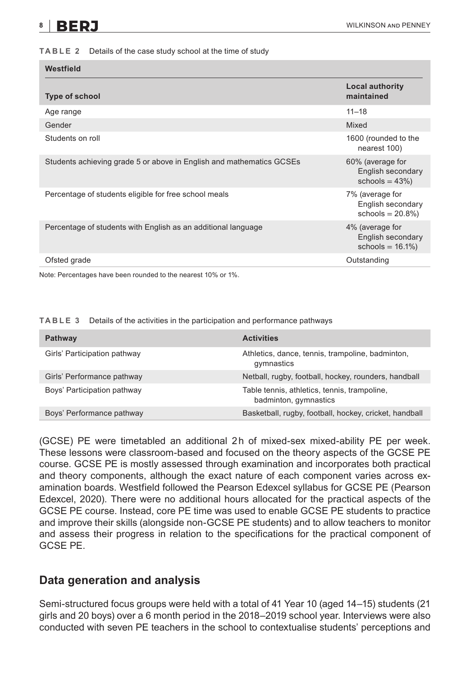#### **TABLE 2** Details of the case study school at the time of study

| Westfield                                                            |                                                              |  |
|----------------------------------------------------------------------|--------------------------------------------------------------|--|
| <b>Type of school</b>                                                | <b>Local authority</b><br>maintained                         |  |
| Age range                                                            | $11 - 18$                                                    |  |
| Gender                                                               | Mixed                                                        |  |
| Students on roll                                                     | 1600 (rounded to the<br>nearest 100)                         |  |
| Students achieving grade 5 or above in English and mathematics GCSEs | 60% (average for<br>English secondary<br>schools = $43\%$ )  |  |
| Percentage of students eligible for free school meals                | 7% (average for<br>English secondary<br>schools = $20.8\%$ ) |  |
| Percentage of students with English as an additional language        | 4% (average for<br>English secondary<br>schools = $16.1\%$ ) |  |
| Ofsted grade                                                         | Outstanding                                                  |  |
|                                                                      |                                                              |  |

Note: Percentages have been rounded to the nearest 10% or 1%.

**TABLE 3** Details of the activities in the participation and performance pathways

| Pathway                      | <b>Activities</b>                                                     |
|------------------------------|-----------------------------------------------------------------------|
| Girls' Participation pathway | Athletics, dance, tennis, trampoline, badminton,<br>qymnastics        |
| Girls' Performance pathway   | Netball, rugby, football, hockey, rounders, handball                  |
| Boys' Participation pathway  | Table tennis, athletics, tennis, trampoline,<br>badminton, gymnastics |
| Boys' Performance pathway    | Basketball, rugby, football, hockey, cricket, handball                |

(GCSE) PE were timetabled an additional 2h of mixed-sex mixed-ability PE per week. These lessons were classroom-based and focused on the theory aspects of the GCSE PE course. GCSE PE is mostly assessed through examination and incorporates both practical and theory components, although the exact nature of each component varies across examination boards. Westfield followed the Pearson Edexcel syllabus for GCSE PE (Pearson Edexcel, 2020). There were no additional hours allocated for the practical aspects of the GCSE PE course. Instead, core PE time was used to enable GCSE PE students to practice and improve their skills (alongside non-GCSE PE students) and to allow teachers to monitor and assess their progress in relation to the specifications for the practical component of GCSE PE.

### **Data generation and analysis**

Semi-structured focus groups were held with a total of 41 Year 10 (aged 14–15) students (21 girls and 20 boys) over a 6 month period in the 2018–2019 school year. Interviews were also conducted with seven PE teachers in the school to contextualise students' perceptions and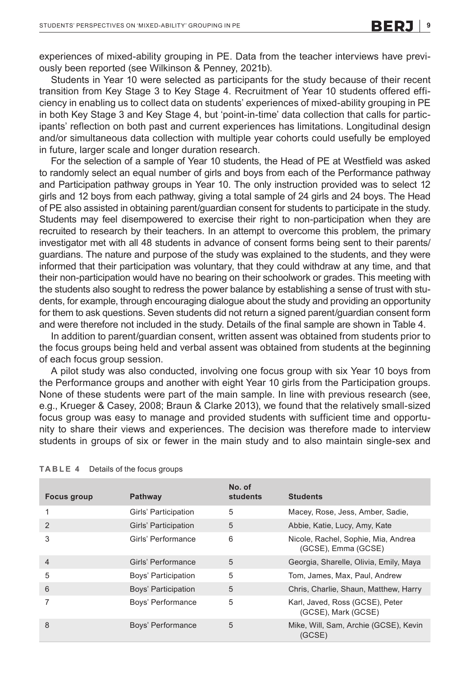experiences of mixed-ability grouping in PE. Data from the teacher interviews have previously been reported (see Wilkinson & Penney, 2021b).

Students in Year 10 were selected as participants for the study because of their recent transition from Key Stage 3 to Key Stage 4. Recruitment of Year 10 students offered efficiency in enabling us to collect data on students' experiences of mixed-ability grouping in PE in both Key Stage 3 and Key Stage 4, but 'point-in-time' data collection that calls for participants' reflection on both past and current experiences has limitations. Longitudinal design and/or simultaneous data collection with multiple year cohorts could usefully be employed in future, larger scale and longer duration research.

For the selection of a sample of Year 10 students, the Head of PE at Westfield was asked to randomly select an equal number of girls and boys from each of the Performance pathway and Participation pathway groups in Year 10. The only instruction provided was to select 12 girls and 12 boys from each pathway, giving a total sample of 24 girls and 24 boys. The Head of PE also assisted in obtaining parent/guardian consent for students to participate in the study. Students may feel disempowered to exercise their right to non-participation when they are recruited to research by their teachers. In an attempt to overcome this problem, the primary investigator met with all 48 students in advance of consent forms being sent to their parents/ guardians. The nature and purpose of the study was explained to the students, and they were informed that their participation was voluntary, that they could withdraw at any time, and that their non-participation would have no bearing on their schoolwork or grades. This meeting with the students also sought to redress the power balance by establishing a sense of trust with students, for example, through encouraging dialogue about the study and providing an opportunity for them to ask questions. Seven students did not return a signed parent/guardian consent form and were therefore not included in the study. Details of the final sample are shown in Table 4.

In addition to parent/guardian consent, written assent was obtained from students prior to the focus groups being held and verbal assent was obtained from students at the beginning of each focus group session.

A pilot study was also conducted, involving one focus group with six Year 10 boys from the Performance groups and another with eight Year 10 girls from the Participation groups. None of these students were part of the main sample. In line with previous research (see, e.g., Krueger & Casey, 2008; Braun & Clarke 2013), we found that the relatively small-sized focus group was easy to manage and provided students with sufficient time and opportunity to share their views and experiences. The decision was therefore made to interview students in groups of six or fewer in the main study and to also maintain single-sex and

| Focus group    | Pathway                  | No. of<br>students | <b>Students</b>                                            |
|----------------|--------------------------|--------------------|------------------------------------------------------------|
|                | Girls' Participation     | 5                  | Macey, Rose, Jess, Amber, Sadie,                           |
| $\mathcal{P}$  | Girls' Participation     | 5                  | Abbie, Katie, Lucy, Amy, Kate                              |
| 3              | Girls' Performance       | 6                  | Nicole, Rachel, Sophie, Mia, Andrea<br>(GCSE), Emma (GCSE) |
| $\overline{4}$ | Girls' Performance       | 5                  | Georgia, Sharelle, Olivia, Emily, Maya                     |
| 5              | Boys' Participation      | 5                  | Tom, James, Max, Paul, Andrew                              |
| 6              | Boys' Participation      | 5                  | Chris, Charlie, Shaun, Matthew, Harry                      |
|                | Boys' Performance        | 5                  | Karl, Javed, Ross (GCSE), Peter<br>(GCSE), Mark (GCSE)     |
| 8              | <b>Boys' Performance</b> | 5                  | Mike, Will, Sam, Archie (GCSE), Kevin<br>(GCSE)            |

#### **TABLE 4** Details of the focus groups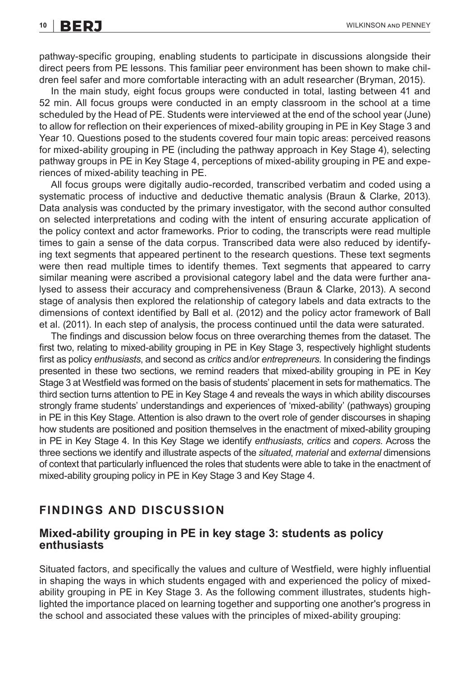pathway-specific grouping, enabling students to participate in discussions alongside their direct peers from PE lessons. This familiar peer environment has been shown to make children feel safer and more comfortable interacting with an adult researcher (Bryman, 2015).

In the main study, eight focus groups were conducted in total, lasting between 41 and 52 min. All focus groups were conducted in an empty classroom in the school at a time scheduled by the Head of PE. Students were interviewed at the end of the school year (June) to allow for reflection on their experiences of mixed-ability grouping in PE in Key Stage 3 and Year 10. Questions posed to the students covered four main topic areas: perceived reasons for mixed-ability grouping in PE (including the pathway approach in Key Stage 4), selecting pathway groups in PE in Key Stage 4, perceptions of mixed-ability grouping in PE and experiences of mixed-ability teaching in PE.

All focus groups were digitally audio-recorded, transcribed verbatim and coded using a systematic process of inductive and deductive thematic analysis (Braun & Clarke, 2013). Data analysis was conducted by the primary investigator, with the second author consulted on selected interpretations and coding with the intent of ensuring accurate application of the policy context and actor frameworks. Prior to coding, the transcripts were read multiple times to gain a sense of the data corpus. Transcribed data were also reduced by identifying text segments that appeared pertinent to the research questions. These text segments were then read multiple times to identify themes. Text segments that appeared to carry similar meaning were ascribed a provisional category label and the data were further analysed to assess their accuracy and comprehensiveness (Braun & Clarke, 2013). A second stage of analysis then explored the relationship of category labels and data extracts to the dimensions of context identified by Ball et al. (2012) and the policy actor framework of Ball et al. (2011). In each step of analysis, the process continued until the data were saturated.

The findings and discussion below focus on three overarching themes from the dataset. The first two, relating to mixed-ability grouping in PE in Key Stage 3, respectively highlight students first as policy *enthusiasts*, and second as *critics* and/or *entrepreneurs*. In considering the findings presented in these two sections, we remind readers that mixed-ability grouping in PE in Key Stage 3 at Westfield was formed on the basis of students' placement in sets for mathematics. The third section turns attention to PE in Key Stage 4 and reveals the ways in which ability discourses strongly frame students' understandings and experiences of 'mixed-ability' (pathways) grouping in PE in this Key Stage. Attention is also drawn to the overt role of gender discourses in shaping how students are positioned and position themselves in the enactment of mixed-ability grouping in PE in Key Stage 4. In this Key Stage we identify *enthusiasts*, *critics* and *copers*. Across the three sections we identify and illustrate aspects of the *situated*, *material* and *external* dimensions of context that particularly influenced the roles that students were able to take in the enactment of mixed-ability grouping policy in PE in Key Stage 3 and Key Stage 4.

### **FINDINGS AND DISCUSSION**

### **Mixed-ability grouping in PE in key stage 3: students as policy enthusiasts**

Situated factors, and specifically the values and culture of Westfield, were highly influential in shaping the ways in which students engaged with and experienced the policy of mixedability grouping in PE in Key Stage 3. As the following comment illustrates, students highlighted the importance placed on learning together and supporting one another's progress in the school and associated these values with the principles of mixed-ability grouping: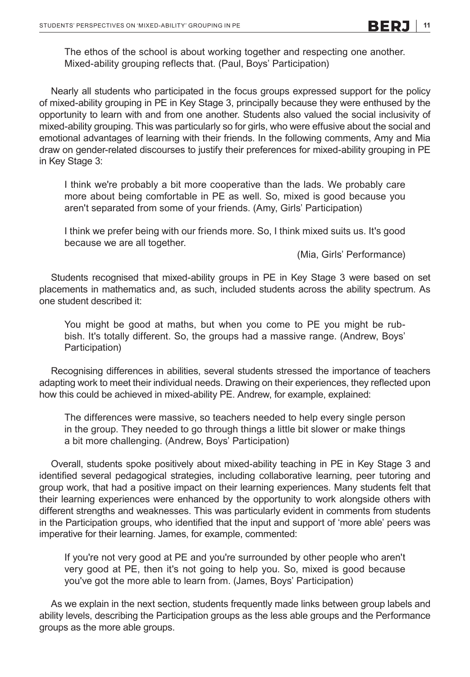The ethos of the school is about working together and respecting one another. Mixed-ability grouping reflects that. (Paul, Boys' Participation)

Nearly all students who participated in the focus groups expressed support for the policy of mixed-ability grouping in PE in Key Stage 3, principally because they were enthused by the opportunity to learn with and from one another. Students also valued the social inclusivity of mixed-ability grouping. This was particularly so for girls, who were effusive about the social and emotional advantages of learning with their friends. In the following comments, Amy and Mia draw on gender-related discourses to justify their preferences for mixed-ability grouping in PE in Key Stage 3:

I think we're probably a bit more cooperative than the lads. We probably care more about being comfortable in PE as well. So, mixed is good because you aren't separated from some of your friends. (Amy, Girls' Participation)

I think we prefer being with our friends more. So, I think mixed suits us. It's good because we are all together.

(Mia, Girls' Performance)

Students recognised that mixed-ability groups in PE in Key Stage 3 were based on set placements in mathematics and, as such, included students across the ability spectrum. As one student described it:

You might be good at maths, but when you come to PE you might be rubbish. It's totally different. So, the groups had a massive range. (Andrew, Boys' Participation)

Recognising differences in abilities, several students stressed the importance of teachers adapting work to meet their individual needs. Drawing on their experiences, they reflected upon how this could be achieved in mixed-ability PE. Andrew, for example, explained:

The differences were massive, so teachers needed to help every single person in the group. They needed to go through things a little bit slower or make things a bit more challenging. (Andrew, Boys' Participation)

Overall, students spoke positively about mixed-ability teaching in PE in Key Stage 3 and identified several pedagogical strategies, including collaborative learning, peer tutoring and group work, that had a positive impact on their learning experiences. Many students felt that their learning experiences were enhanced by the opportunity to work alongside others with different strengths and weaknesses. This was particularly evident in comments from students in the Participation groups, who identified that the input and support of 'more able' peers was imperative for their learning. James, for example, commented:

If you're not very good at PE and you're surrounded by other people who aren't very good at PE, then it's not going to help you. So, mixed is good because you've got the more able to learn from. (James, Boys' Participation)

As we explain in the next section, students frequently made links between group labels and ability levels, describing the Participation groups as the less able groups and the Performance groups as the more able groups.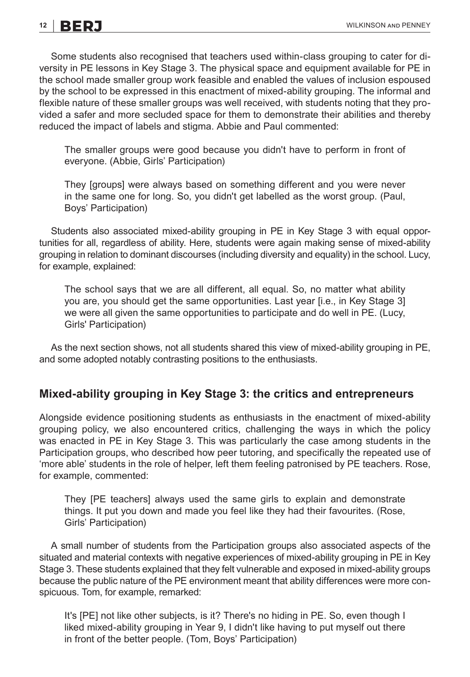Some students also recognised that teachers used within-class grouping to cater for diversity in PE lessons in Key Stage 3. The physical space and equipment available for PE in the school made smaller group work feasible and enabled the values of inclusion espoused by the school to be expressed in this enactment of mixed-ability grouping. The informal and flexible nature of these smaller groups was well received, with students noting that they provided a safer and more secluded space for them to demonstrate their abilities and thereby reduced the impact of labels and stigma. Abbie and Paul commented:

The smaller groups were good because you didn't have to perform in front of everyone. (Abbie, Girls' Participation)

They [groups] were always based on something different and you were never in the same one for long. So, you didn't get labelled as the worst group. (Paul, Boys' Participation)

Students also associated mixed-ability grouping in PE in Key Stage 3 with equal opportunities for all, regardless of ability. Here, students were again making sense of mixed-ability grouping in relation to dominant discourses (including diversity and equality) in the school. Lucy, for example, explained:

The school says that we are all different, all equal. So, no matter what ability you are, you should get the same opportunities. Last year [i.e., in Key Stage 3] we were all given the same opportunities to participate and do well in PE. (Lucy, Girls' Participation)

As the next section shows, not all students shared this view of mixed-ability grouping in PE, and some adopted notably contrasting positions to the enthusiasts.

### **Mixed-ability grouping in Key Stage 3: the critics and entrepreneurs**

Alongside evidence positioning students as enthusiasts in the enactment of mixed-ability grouping policy, we also encountered critics, challenging the ways in which the policy was enacted in PE in Key Stage 3. This was particularly the case among students in the Participation groups, who described how peer tutoring, and specifically the repeated use of 'more able' students in the role of helper, left them feeling patronised by PE teachers. Rose, for example, commented:

They [PE teachers] always used the same girls to explain and demonstrate things. It put you down and made you feel like they had their favourites. (Rose, Girls' Participation)

A small number of students from the Participation groups also associated aspects of the situated and material contexts with negative experiences of mixed-ability grouping in PE in Key Stage 3. These students explained that they felt vulnerable and exposed in mixed-ability groups because the public nature of the PE environment meant that ability differences were more conspicuous. Tom, for example, remarked:

It's [PE] not like other subjects, is it? There's no hiding in PE. So, even though I liked mixed-ability grouping in Year 9, I didn't like having to put myself out there in front of the better people. (Tom, Boys' Participation)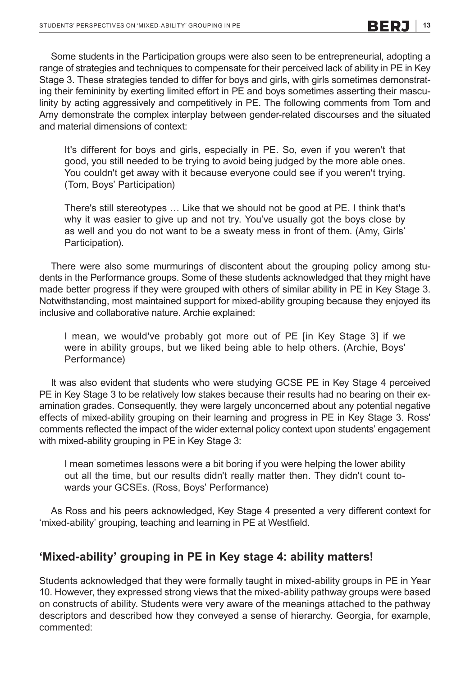Some students in the Participation groups were also seen to be entrepreneurial, adopting a range of strategies and techniques to compensate for their perceived lack of ability in PE in Key Stage 3. These strategies tended to differ for boys and girls, with girls sometimes demonstrating their femininity by exerting limited effort in PE and boys sometimes asserting their masculinity by acting aggressively and competitively in PE. The following comments from Tom and Amy demonstrate the complex interplay between gender-related discourses and the situated and material dimensions of context:

It's different for boys and girls, especially in PE. So, even if you weren't that good, you still needed to be trying to avoid being judged by the more able ones. You couldn't get away with it because everyone could see if you weren't trying. (Tom, Boys' Participation)

There's still stereotypes … Like that we should not be good at PE. I think that's why it was easier to give up and not try. You've usually got the boys close by as well and you do not want to be a sweaty mess in front of them. (Amy, Girls' Participation).

There were also some murmurings of discontent about the grouping policy among students in the Performance groups. Some of these students acknowledged that they might have made better progress if they were grouped with others of similar ability in PE in Key Stage 3. Notwithstanding, most maintained support for mixed-ability grouping because they enjoyed its inclusive and collaborative nature. Archie explained:

I mean, we would've probably got more out of PE [in Key Stage 3] if we were in ability groups, but we liked being able to help others. (Archie, Boys' Performance)

It was also evident that students who were studying GCSE PE in Key Stage 4 perceived PE in Key Stage 3 to be relatively low stakes because their results had no bearing on their examination grades. Consequently, they were largely unconcerned about any potential negative effects of mixed-ability grouping on their learning and progress in PE in Key Stage 3. Ross' comments reflected the impact of the wider external policy context upon students' engagement with mixed-ability grouping in PE in Key Stage 3:

I mean sometimes lessons were a bit boring if you were helping the lower ability out all the time, but our results didn't really matter then. They didn't count towards your GCSEs. (Ross, Boys' Performance)

As Ross and his peers acknowledged, Key Stage 4 presented a very different context for 'mixed-ability' grouping, teaching and learning in PE at Westfield.

## **'Mixed-ability' grouping in PE in Key stage 4: ability matters!**

Students acknowledged that they were formally taught in mixed-ability groups in PE in Year 10. However, they expressed strong views that the mixed-ability pathway groups were based on constructs of ability. Students were very aware of the meanings attached to the pathway descriptors and described how they conveyed a sense of hierarchy. Georgia, for example, commented: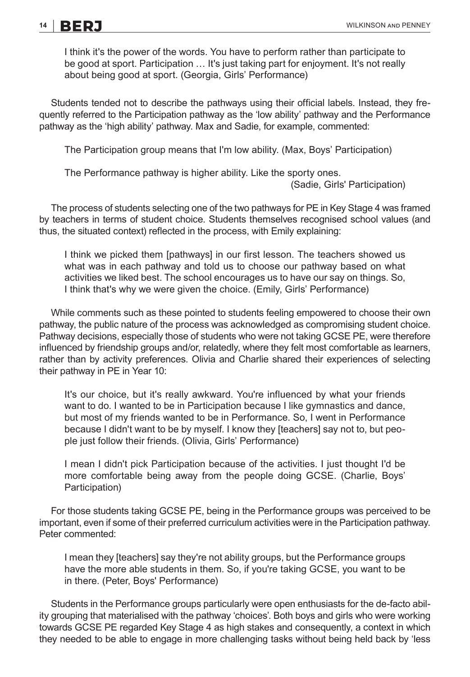I think it's the power of the words. You have to perform rather than participate to be good at sport. Participation ... It's just taking part for enjoyment. It's not really about being good at sport. (Georgia, Girls' Performance)

Students tended not to describe the pathways using their official labels. Instead, they frequently referred to the Participation pathway as the 'low ability' pathway and the Performance pathway as the 'high ability' pathway. Max and Sadie, for example, commented:

The Participation group means that I'm low ability. (Max, Boys' Participation)

The Performance pathway is higher ability. Like the sporty ones.

(Sadie, Girls' Participation)

The process of students selecting one of the two pathways for PE in Key Stage 4 was framed by teachers in terms of student choice. Students themselves recognised school values (and thus, the situated context) reflected in the process, with Emily explaining:

I think we picked them [pathways] in our first lesson. The teachers showed us what was in each pathway and told us to choose our pathway based on what activities we liked best. The school encourages us to have our say on things. So, I think that's why we were given the choice. (Emily, Girls' Performance)

While comments such as these pointed to students feeling empowered to choose their own pathway, the public nature of the process was acknowledged as compromising student choice. Pathway decisions, especially those of students who were not taking GCSE PE, were therefore influenced by friendship groups and/or, relatedly, where they felt most comfortable as learners, rather than by activity preferences. Olivia and Charlie shared their experiences of selecting their pathway in PE in Year 10:

It's our choice, but it's really awkward. You're influenced by what your friends want to do. I wanted to be in Participation because I like gymnastics and dance, but most of my friends wanted to be in Performance. So, I went in Performance because I didn't want to be by myself. I know they [teachers] say not to, but people just follow their friends. (Olivia, Girls' Performance)

I mean I didn't pick Participation because of the activities. I just thought I'd be more comfortable being away from the people doing GCSE. (Charlie, Boys' Participation)

For those students taking GCSE PE, being in the Performance groups was perceived to be important, even if some of their preferred curriculum activities were in the Participation pathway. Peter commented:

I mean they [teachers] say they're not ability groups, but the Performance groups have the more able students in them. So, if you're taking GCSE, you want to be in there. (Peter, Boys' Performance)

Students in the Performance groups particularly were open enthusiasts for the de-facto ability grouping that materialised with the pathway 'choices'. Both boys and girls who were working towards GCSE PE regarded Key Stage 4 as high stakes and consequently, a context in which they needed to be able to engage in more challenging tasks without being held back by 'less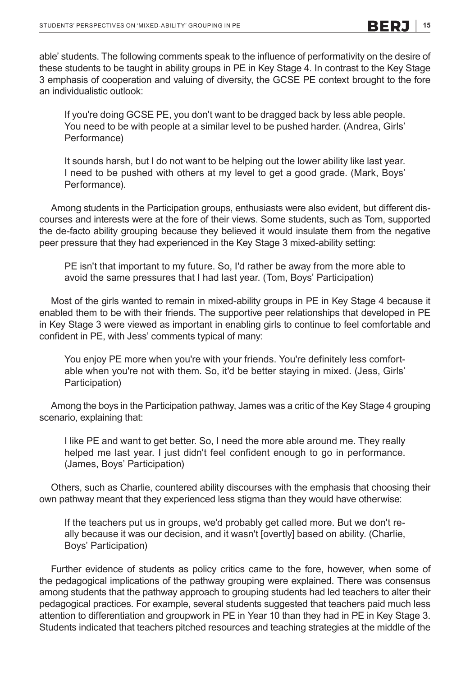able' students. The following comments speak to the influence of performativity on the desire of these students to be taught in ability groups in PE in Key Stage 4. In contrast to the Key Stage 3 emphasis of cooperation and valuing of diversity, the GCSE PE context brought to the fore an individualistic outlook:

If you're doing GCSE PE, you don't want to be dragged back by less able people. You need to be with people at a similar level to be pushed harder. (Andrea, Girls' Performance)

It sounds harsh, but I do not want to be helping out the lower ability like last year. I need to be pushed with others at my level to get a good grade. (Mark, Boys' Performance).

Among students in the Participation groups, enthusiasts were also evident, but different discourses and interests were at the fore of their views. Some students, such as Tom, supported the de-facto ability grouping because they believed it would insulate them from the negative peer pressure that they had experienced in the Key Stage 3 mixed-ability setting:

PE isn't that important to my future. So, I'd rather be away from the more able to avoid the same pressures that I had last year. (Tom, Boys' Participation)

Most of the girls wanted to remain in mixed-ability groups in PE in Key Stage 4 because it enabled them to be with their friends. The supportive peer relationships that developed in PE in Key Stage 3 were viewed as important in enabling girls to continue to feel comfortable and confident in PE, with Jess' comments typical of many:

You enjoy PE more when you're with your friends. You're definitely less comfortable when you're not with them. So, it'd be better staying in mixed. (Jess, Girls' Participation)

Among the boys in the Participation pathway, James was a critic of the Key Stage 4 grouping scenario, explaining that:

I like PE and want to get better. So, I need the more able around me. They really helped me last year. I just didn't feel confident enough to go in performance. (James, Boys' Participation)

Others, such as Charlie, countered ability discourses with the emphasis that choosing their own pathway meant that they experienced less stigma than they would have otherwise:

If the teachers put us in groups, we'd probably get called more. But we don't really because it was our decision, and it wasn't [overtly] based on ability. (Charlie, Boys' Participation)

Further evidence of students as policy critics came to the fore, however, when some of the pedagogical implications of the pathway grouping were explained. There was consensus among students that the pathway approach to grouping students had led teachers to alter their pedagogical practices. For example, several students suggested that teachers paid much less attention to differentiation and groupwork in PE in Year 10 than they had in PE in Key Stage 3. Students indicated that teachers pitched resources and teaching strategies at the middle of the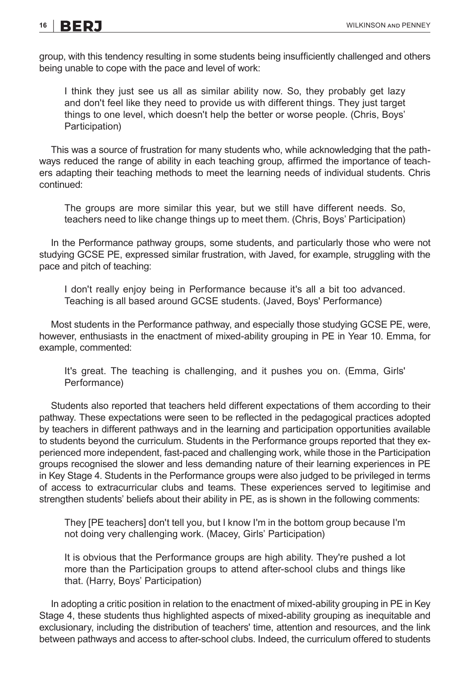group, with this tendency resulting in some students being insufficiently challenged and others being unable to cope with the pace and level of work:

I think they just see us all as similar ability now. So, they probably get lazy and don't feel like they need to provide us with different things. They just target things to one level, which doesn't help the better or worse people. (Chris, Boys' Participation)

This was a source of frustration for many students who, while acknowledging that the pathways reduced the range of ability in each teaching group, affirmed the importance of teachers adapting their teaching methods to meet the learning needs of individual students. Chris continued:

The groups are more similar this year, but we still have different needs. So, teachers need to like change things up to meet them. (Chris, Boys' Participation)

In the Performance pathway groups, some students, and particularly those who were not studying GCSE PE, expressed similar frustration, with Javed, for example, struggling with the pace and pitch of teaching:

I don't really enjoy being in Performance because it's all a bit too advanced. Teaching is all based around GCSE students. (Javed, Boys' Performance)

Most students in the Performance pathway, and especially those studying GCSE PE, were, however, enthusiasts in the enactment of mixed-ability grouping in PE in Year 10. Emma, for example, commented:

It's great. The teaching is challenging, and it pushes you on. (Emma, Girls' Performance)

Students also reported that teachers held different expectations of them according to their pathway. These expectations were seen to be reflected in the pedagogical practices adopted by teachers in different pathways and in the learning and participation opportunities available to students beyond the curriculum. Students in the Performance groups reported that they experienced more independent, fast-paced and challenging work, while those in the Participation groups recognised the slower and less demanding nature of their learning experiences in PE in Key Stage 4. Students in the Performance groups were also judged to be privileged in terms of access to extracurricular clubs and teams. These experiences served to legitimise and strengthen students' beliefs about their ability in PE, as is shown in the following comments:

They [PE teachers] don't tell you, but I know I'm in the bottom group because I'm not doing very challenging work. (Macey, Girls' Participation)

It is obvious that the Performance groups are high ability. They're pushed a lot more than the Participation groups to attend after-school clubs and things like that. (Harry, Boys' Participation)

In adopting a critic position in relation to the enactment of mixed-ability grouping in PE in Key Stage 4, these students thus highlighted aspects of mixed-ability grouping as inequitable and exclusionary, including the distribution of teachers' time, attention and resources, and the link between pathways and access to after-school clubs. Indeed, the curriculum offered to students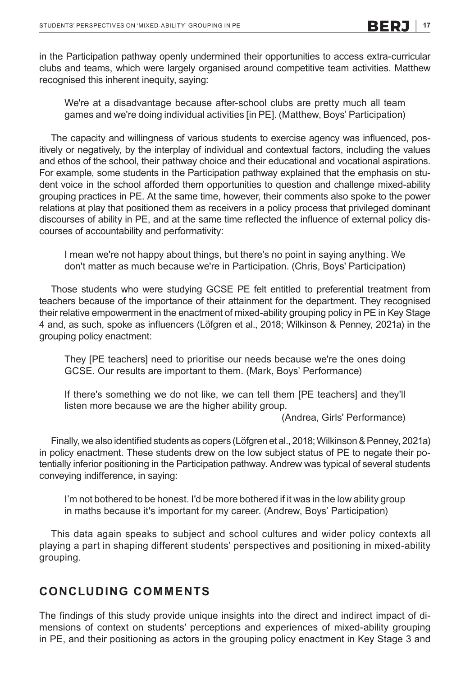in the Participation pathway openly undermined their opportunities to access extra-curricular clubs and teams, which were largely organised around competitive team activities. Matthew recognised this inherent inequity, saying:

We're at a disadvantage because after-school clubs are pretty much all team games and we're doing individual activities [in PE]. (Matthew, Boys' Participation)

The capacity and willingness of various students to exercise agency was influenced, positively or negatively, by the interplay of individual and contextual factors, including the values and ethos of the school, their pathway choice and their educational and vocational aspirations. For example, some students in the Participation pathway explained that the emphasis on student voice in the school afforded them opportunities to question and challenge mixed-ability grouping practices in PE. At the same time, however, their comments also spoke to the power relations at play that positioned them as receivers in a policy process that privileged dominant discourses of ability in PE, and at the same time reflected the influence of external policy discourses of accountability and performativity:

I mean we're not happy about things, but there's no point in saying anything. We don't matter as much because we're in Participation. (Chris, Boys' Participation)

Those students who were studying GCSE PE felt entitled to preferential treatment from teachers because of the importance of their attainment for the department. They recognised their relative empowerment in the enactment of mixed-ability grouping policy in PE in Key Stage 4 and, as such, spoke as influencers (Löfgren et al., 2018; Wilkinson & Penney, 2021a) in the grouping policy enactment:

They [PE teachers] need to prioritise our needs because we're the ones doing GCSE. Our results are important to them. (Mark, Boys' Performance)

If there's something we do not like, we can tell them [PE teachers] and they'll listen more because we are the higher ability group.

(Andrea, Girls' Performance)

Finally, we also identified students as copers (Löfgren et al., 2018; Wilkinson & Penney, 2021a) in policy enactment. These students drew on the low subject status of PE to negate their potentially inferior positioning in the Participation pathway. Andrew was typical of several students conveying indifference, in saying:

I'm not bothered to be honest. I'd be more bothered if it was in the low ability group in maths because it's important for my career. (Andrew, Boys' Participation)

This data again speaks to subject and school cultures and wider policy contexts all playing a part in shaping different students' perspectives and positioning in mixed-ability grouping.

### **CONCLUDING COMMENTS**

The findings of this study provide unique insights into the direct and indirect impact of dimensions of context on students' perceptions and experiences of mixed-ability grouping in PE, and their positioning as actors in the grouping policy enactment in Key Stage 3 and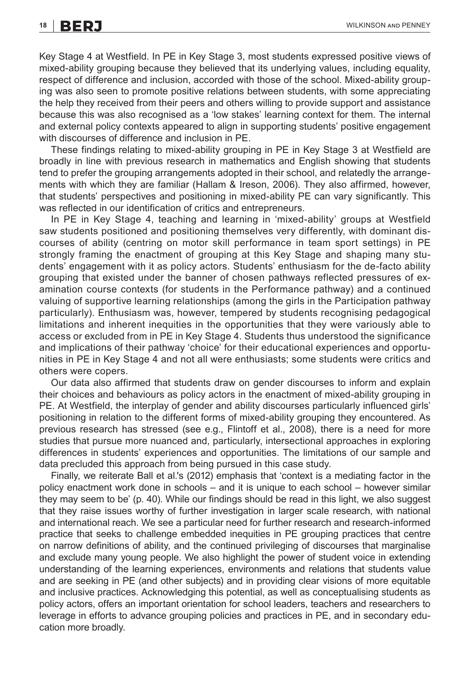Key Stage 4 at Westfield. In PE in Key Stage 3, most students expressed positive views of mixed-ability grouping because they believed that its underlying values, including equality, respect of difference and inclusion, accorded with those of the school. Mixed-ability grouping was also seen to promote positive relations between students, with some appreciating the help they received from their peers and others willing to provide support and assistance because this was also recognised as a 'low stakes' learning context for them. The internal and external policy contexts appeared to align in supporting students' positive engagement with discourses of difference and inclusion in PE.

These findings relating to mixed-ability grouping in PE in Key Stage 3 at Westfield are broadly in line with previous research in mathematics and English showing that students tend to prefer the grouping arrangements adopted in their school, and relatedly the arrangements with which they are familiar (Hallam & Ireson, 2006). They also affirmed, however, that students' perspectives and positioning in mixed-ability PE can vary significantly. This was reflected in our identification of critics and entrepreneurs.

In PE in Key Stage 4, teaching and learning in 'mixed-ability' groups at Westfield saw students positioned and positioning themselves very differently, with dominant discourses of ability (centring on motor skill performance in team sport settings) in PE strongly framing the enactment of grouping at this Key Stage and shaping many students' engagement with it as policy actors. Students' enthusiasm for the de-facto ability grouping that existed under the banner of chosen pathways reflected pressures of examination course contexts (for students in the Performance pathway) and a continued valuing of supportive learning relationships (among the girls in the Participation pathway particularly). Enthusiasm was, however, tempered by students recognising pedagogical limitations and inherent inequities in the opportunities that they were variously able to access or excluded from in PE in Key Stage 4. Students thus understood the significance and implications of their pathway 'choice' for their educational experiences and opportunities in PE in Key Stage 4 and not all were enthusiasts; some students were critics and others were copers.

Our data also affirmed that students draw on gender discourses to inform and explain their choices and behaviours as policy actors in the enactment of mixed-ability grouping in PE. At Westfield, the interplay of gender and ability discourses particularly influenced girls' positioning in relation to the different forms of mixed-ability grouping they encountered. As previous research has stressed (see e.g., Flintoff et al., 2008), there is a need for more studies that pursue more nuanced and, particularly, intersectional approaches in exploring differences in students' experiences and opportunities. The limitations of our sample and data precluded this approach from being pursued in this case study.

Finally, we reiterate Ball et al.'s (2012) emphasis that 'context is a mediating factor in the policy enactment work done in schools – and it is unique to each school – however similar they may seem to be' (p. 40). While our findings should be read in this light, we also suggest that they raise issues worthy of further investigation in larger scale research, with national and international reach. We see a particular need for further research and research-informed practice that seeks to challenge embedded inequities in PE grouping practices that centre on narrow definitions of ability, and the continued privileging of discourses that marginalise and exclude many young people. We also highlight the power of student voice in extending understanding of the learning experiences, environments and relations that students value and are seeking in PE (and other subjects) and in providing clear visions of more equitable and inclusive practices. Acknowledging this potential, as well as conceptualising students as policy actors, offers an important orientation for school leaders, teachers and researchers to leverage in efforts to advance grouping policies and practices in PE, and in secondary education more broadly.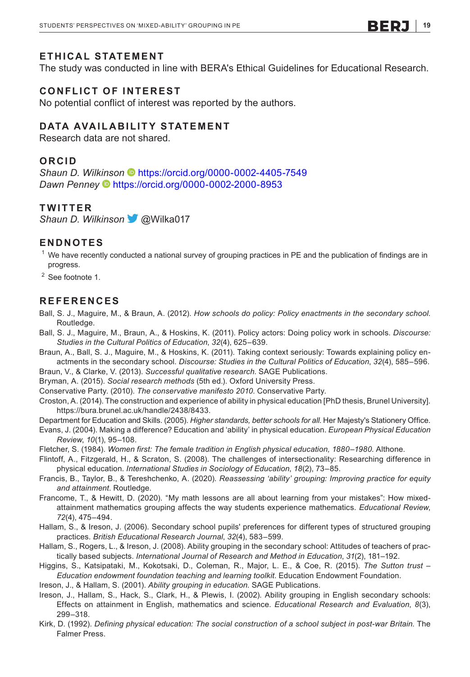### **ETHICAL STATEMENT**

The study was conducted in line with BERA's Ethical Guidelines for Educational Research.

### **CONFLICT OF INTEREST**

No potential conflict of interest was reported by the authors.

### **DATA AVAILABILITY STATEMENT**

Research data are not shared.

### **ORCID**

*Shaun D. Wil[kins](https://orcid.org/0000-0002-2000-8953)on* <https://orcid.org/0000-0002-4405-7549> *Dawn Penney* <https://orcid.org/0000-0002-2000-8953>

### **TWITTER**

*Shaun D. Wilkinson*@Wilka017

### **ENDNOTES**

 $^{\rm 1}$  We have recently conducted a national survey of grouping practices in PE and the publication of findings are in progress.

<sup>2</sup> See footnote 1.

#### **REFERENCES**

- Ball, S. J., Maguire, M., & Braun, A. (2012). *How schools do policy: Policy enactments in the secondary school*. Routledge.
- Ball, S. J., Maguire, M., Braun, A., & Hoskins, K. (2011). Policy actors: Doing policy work in schools. *Discourse: Studies in the Cultural Politics of Education*, *32*(4), 625–639.
- Braun, A., Ball, S. J., Maguire, M., & Hoskins, K. (2011). Taking context seriously: Towards explaining policy enactments in the secondary school. *Discourse: Studies in the Cultural Politics of Education*, *32*(4), 585–596.
- Braun, V., & Clarke, V. (2013). *Successful qualitative research*. SAGE Publications.
- Bryman, A. (2015). *Social research methods* (5th ed.). Oxford University Press.
- Conservative Party. (2010). *The conservative manifesto 2010*. Conservative Party.
- Croston, A. (2014). The construction and experience of ability in physical education [PhD thesis, Brunel University]. <https://bura.brunel.ac.uk/handle/2438/8433>.
- Department for Education and Skills. (2005). *Higher standards, better schools for all*. Her Majesty's Stationery Office.
- Evans, J. (2004). Making a difference? Education and 'ability' in physical education. *European Physical Education Review*, *10*(1), 95–108.
- Fletcher, S. (1984). *Women first: The female tradition in English physical education, 1880–1980*. Althone.
- Flintoff, A., Fitzgerald, H., & Scraton, S. (2008). The challenges of intersectionality: Researching difference in physical education. *International Studies in Sociology of Education*, *18*(2), 73–85.
- Francis, B., Taylor, B., & Tereshchenko, A. (2020). *Reassessing 'ability' grouping: Improving practice for equity and attainment*. Routledge.
- Francome, T., & Hewitt, D. (2020). "My math lessons are all about learning from your mistakes": How mixedattainment mathematics grouping affects the way students experience mathematics. *Educational Review*, *72*(4), 475–494.
- Hallam, S., & Ireson, J. (2006). Secondary school pupils' preferences for different types of structured grouping practices. *British Educational Research Journal*, *32*(4), 583–599.
- Hallam, S., Rogers, L., & Ireson, J. (2008). Ability grouping in the secondary school: Attitudes of teachers of practically based subjects. *International Journal of Research and Method in Education*, *31*(2), 181–192.
- Higgins, S., Katsipataki, M., Kokotsaki, D., Coleman, R., Major, L. E., & Coe, R. (2015). *The Sutton trust – Education endowment foundation teaching and learning toolkit*. Education Endowment Foundation.

Ireson, J., & Hallam, S. (2001). *Ability grouping in education*. SAGE Publications.

- Ireson, J., Hallam, S., Hack, S., Clark, H., & Plewis, I. (2002). Ability grouping in English secondary schools: Effects on attainment in English, mathematics and science. *Educational Research and Evaluation*, *8*(3), 299–318.
- Kirk, D. (1992). *Defining physical education: The social construction of a school subject in post-war Britain*. The Falmer Press.